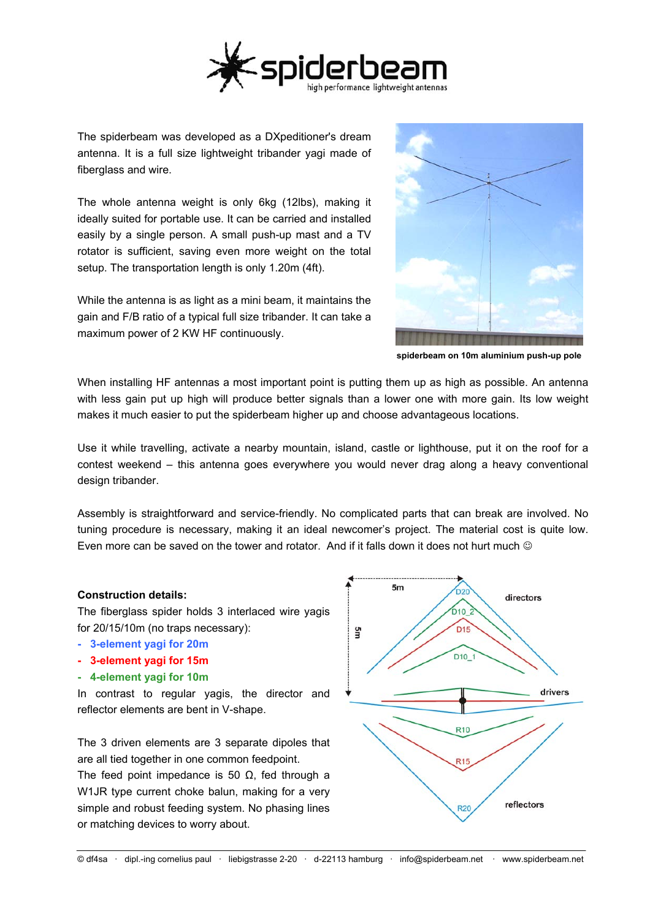

The spiderbeam was developed as a DXpeditioner's dream antenna. It is a full size lightweight tribander yagi made of fiberglass and wire.

The whole antenna weight is only 6kg (12lbs), making it ideally suited for portable use. It can be carried and installed easily by a single person. A small push-up mast and a TV rotator is sufficient, saving even more weight on the total setup. The transportation length is only 1.20m (4ft).

While the antenna is as light as a mini beam, it maintains the gain and F/B ratio of a typical full size tribander. It can take a maximum power of 2 KW HF continuously.



**spiderbeam on 10m aluminium push-up pole**

When installing HF antennas a most important point is putting them up as high as possible. An antenna with less gain put up high will produce better signals than a lower one with more gain. Its low weight makes it much easier to put the spiderbeam higher up and choose advantageous locations.

Use it while travelling, activate a nearby mountain, island, castle or lighthouse, put it on the roof for a contest weekend – this antenna goes everywhere you would never drag along a heavy conventional design tribander.

Assembly is straightforward and service-friendly. No complicated parts that can break are involved. No tuning procedure is necessary, making it an ideal newcomer's project. The material cost is quite low. Even more can be saved on the tower and rotator. And if it falls down it does not hurt much ©

## **Construction details:**

The fiberglass spider holds 3 interlaced wire yagis for 20/15/10m (no traps necessary):

- **3-element yagi for 20m**
- **3-element yagi for 15m**
- **4-element yagi for 10m**

In contrast to regular yagis, the director and reflector elements are bent in V-shape.

The 3 driven elements are 3 separate dipoles that are all tied together in one common feedpoint. The feed point impedance is 50  $\Omega$ , fed through a W1JR type current choke balun, making for a very simple and robust feeding system. No phasing lines or matching devices to worry about.

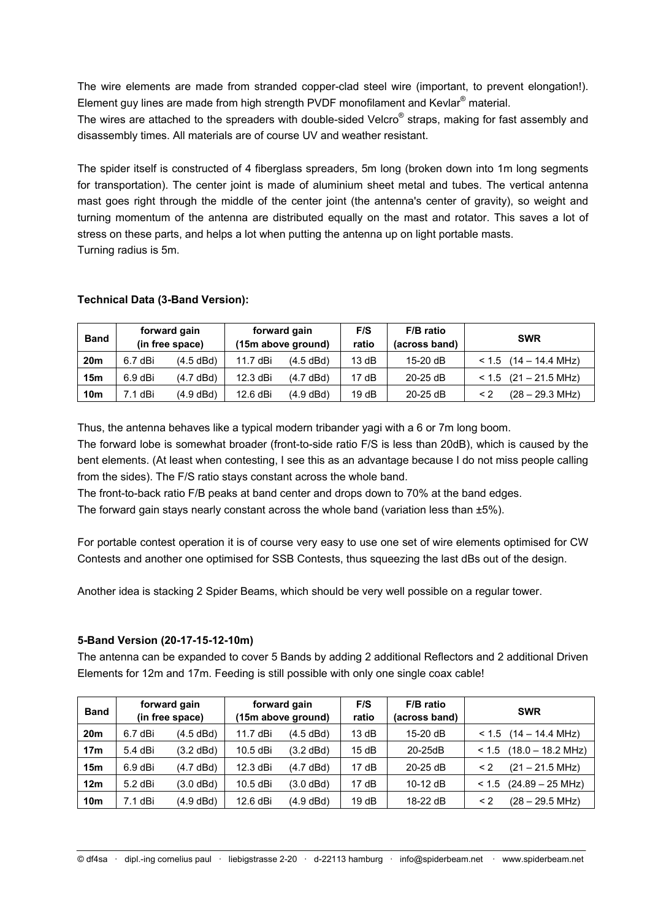The wire elements are made from stranded copper-clad steel wire (important, to prevent elongation!). Element guy lines are made from high strength PVDF monofilament and Kevlar<sup>®</sup> material.

The wires are attached to the spreaders with double-sided Velcro® straps, making for fast assembly and disassembly times. All materials are of course UV and weather resistant.

The spider itself is constructed of 4 fiberglass spreaders, 5m long (broken down into 1m long segments for transportation). The center joint is made of aluminium sheet metal and tubes. The vertical antenna mast goes right through the middle of the center joint (the antenna's center of gravity), so weight and turning momentum of the antenna are distributed equally on the mast and rotator. This saves a lot of stress on these parts, and helps a lot when putting the antenna up on light portable masts. Turning radius is 5m.

| <b>Band</b>     | forward gain<br>(in free space) |             | forward gain<br>(15m above ground) |           | F/S<br>ratio | F/B ratio<br>(across band) | <b>SWR</b>                |
|-----------------|---------------------------------|-------------|------------------------------------|-----------|--------------|----------------------------|---------------------------|
| 20 <sub>m</sub> | 6.7 dBi                         | (4.5 dBd)   | 11.7 dBi                           | (4.5 dBd) | 13 dB        | 15-20 dB                   | $< 1.5$ (14 – 14.4 MHz)   |
| 15 <sub>m</sub> | 6.9 dBi                         | (4.7 dBd)   | 12.3 dBi                           | (4.7 dBd) | 17 dB        | $20-25$ dB                 | $< 1.5$ (21 – 21.5 MHz)   |
| <b>10m</b>      | 7.1 dBi                         | $(4.9$ dBd) | 12.6 dBi                           | (4.9 dBd) | 19dB         | $20-25$ dB                 | $(28 - 29.3 \text{ MHz})$ |

## **Technical Data (3-Band Version):**

Thus, the antenna behaves like a typical modern tribander yagi with a 6 or 7m long boom.

The forward lobe is somewhat broader (front-to-side ratio F/S is less than 20dB), which is caused by the bent elements. (At least when contesting, I see this as an advantage because I do not miss people calling from the sides). The F/S ratio stays constant across the whole band.

The front-to-back ratio F/B peaks at band center and drops down to 70% at the band edges.

The forward gain stays nearly constant across the whole band (variation less than  $\pm 5\%$ ).

For portable contest operation it is of course very easy to use one set of wire elements optimised for CW Contests and another one optimised for SSB Contests, thus squeezing the last dBs out of the design.

Another idea is stacking 2 Spider Beams, which should be very well possible on a regular tower.

#### **5-Band Version (20-17-15-12-10m)**

The antenna can be expanded to cover 5 Bands by adding 2 additional Reflectors and 2 additional Driven Elements for 12m and 17m. Feeding is still possible with only one single coax cable!

| <b>Band</b>     | forward gain<br>(in free space) |           | forward gain<br>(15m above ground) |             | F/S<br>ratio | F/B ratio<br>(across band) | <b>SWR</b>                            |
|-----------------|---------------------------------|-----------|------------------------------------|-------------|--------------|----------------------------|---------------------------------------|
| 20 <sub>m</sub> | $6.7$ dBi                       | (4.5 dBd) | 11.7 dBi                           | (4.5 dBd)   | 13 dB        | 15-20 dB                   | $< 1.5$ (14 – 14.4 MHz)               |
| 17 <sub>m</sub> | 5.4 dBi                         | (3.2 dBd) | 10.5 dBi                           | $(3.2$ dBd) | 15dB         | 20-25dB                    | $(18.0 - 18.2 \text{ MHz})$<br>< 1.5  |
| 15 <sub>m</sub> | $6.9$ dBi                       | (4.7 dBd) | 12.3 dBi                           | (4.7 dBd)   | 17 dB        | $20-25$ dB                 | $(21 - 21.5 \text{ MHz})$<br>$\leq$ 2 |
| 12 <sub>m</sub> | $5.2$ dBi                       | (3.0 dBd) | 10.5 dBi                           | $(3.0$ dBd) | 17 dB        | 10-12 dB                   | $(24.89 - 25 \text{ MHz})$<br>< 1.5   |
| 10 <sub>m</sub> | 7.1 dBi                         | (4.9 dBd) | 12.6 dBi                           | (4.9 dBd)   | 19 dB        | 18-22 dB                   | $(28 - 29.5 \text{ MHz})$<br>$\leq$ 2 |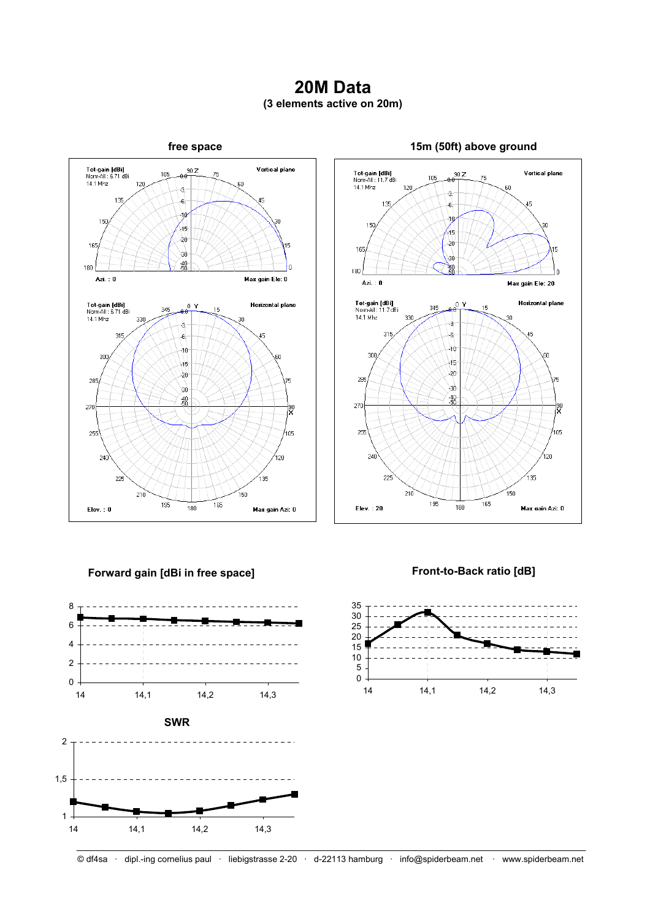# **20M Data (3 elements active on 20m)**



#### **Tot-gain [dBi]**<br>Norm-All : 11.7 dBi<br>14.1 Mhz **Vertical plane**  $90Z$ 105 71 łН  $120$ ą, 138  $-6.$ 45 -10 150  $45$  $\overline{20}$ 165 30  $\frac{20}{50}$  $180$ Ċ Azi.: 0 Max gain Ele: 20  $rac{1}{1+\theta}$ Tot-gain [dBi]<br>Nom-All : 11.7 dBi<br>14.1 Mhz Horizontal plane 345 15 330 30 -3 315  $-6$ -10 300 en. 45  $_{20}$ 285 75 \ah  $.40 - 50$ 270 ļ90 255 105 240 120 ,<br>135  $\overline{2}$  $210$ 150 -<br>165 195  $\frac{1}{180}$ Elev.: 20 Max gain Azi: 0

## **Forward gain [dBi in free space]**



**Front-to-Back ratio [dB]** 

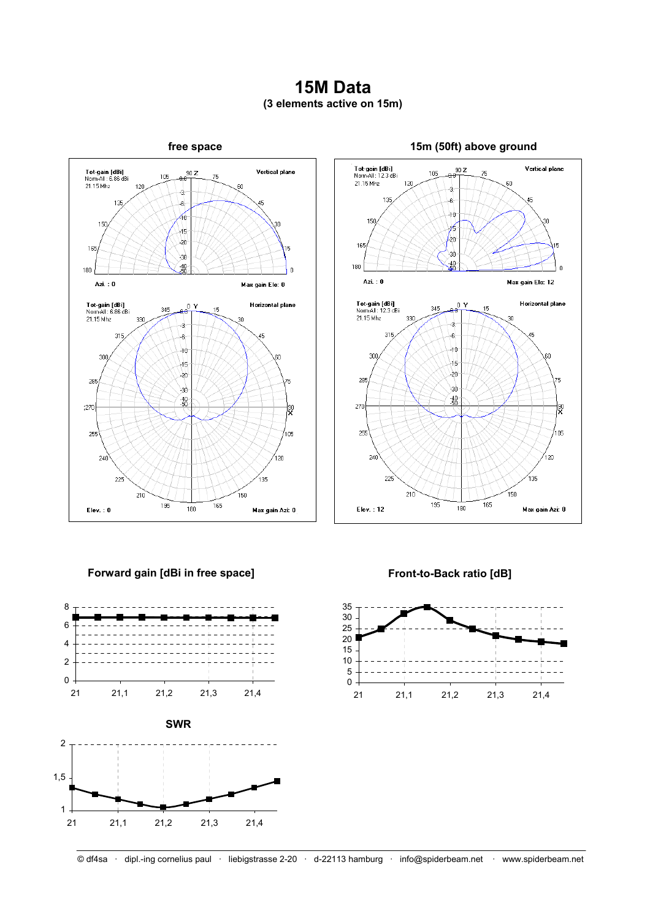## **15M Data (3 elements active on 15m)**





## **Forward gain [dBi in free space]**





**Front-to-Back ratio [dB]** 

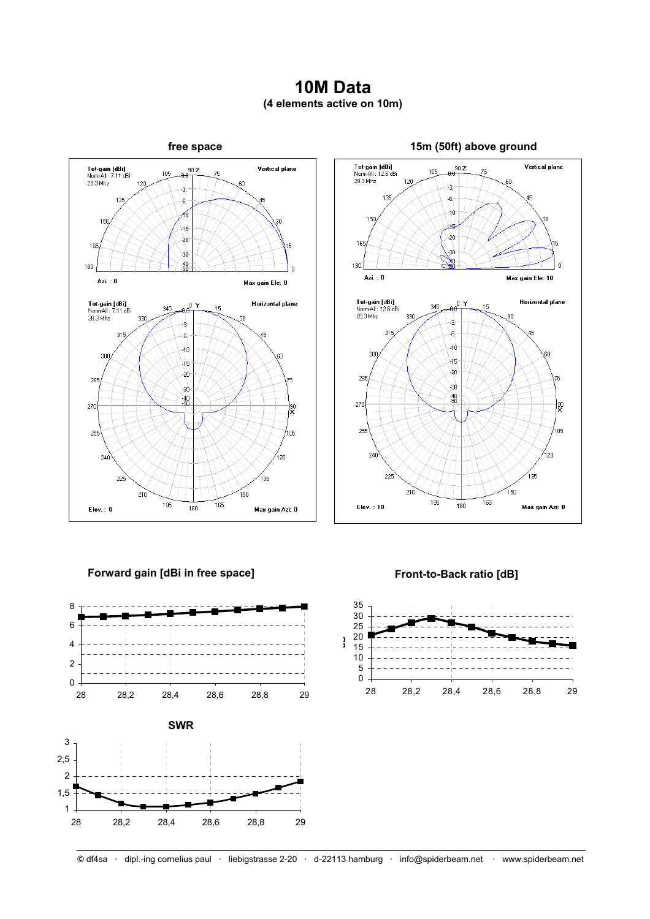## **10M Data (4 elements active on 10m)**





## **Forward gain [dBi in free space]**





## **Front-to-Back ratio [dB]**

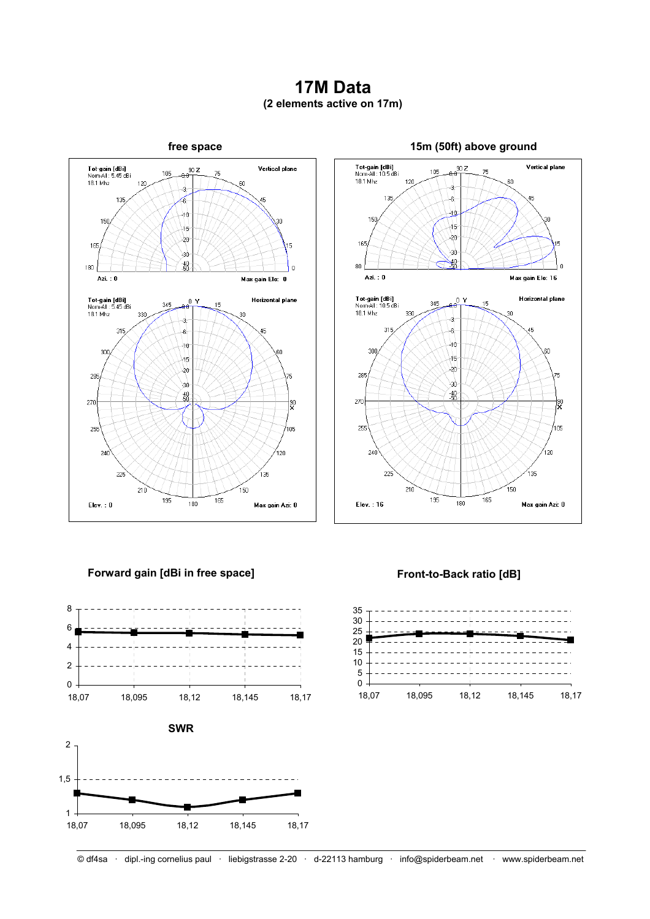## **17M Data (2 elements active on 17m)**





## **Forward gain [dBi in free space]**



## **Front-to-Back ratio [dB]**



© df4sa · dipl.-ing cornelius paul · liebigstrasse 2-20 · d-22113 hamburg · info@spiderbeam.net · www.spiderbeam.net